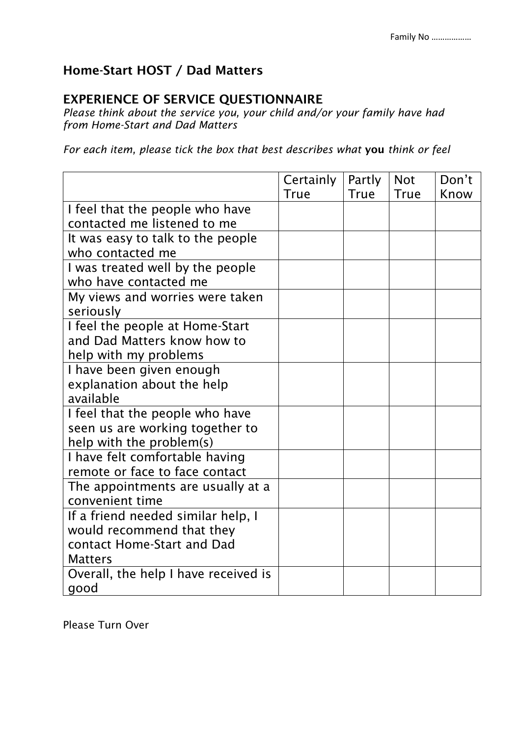## Home-Start HOST / Dad Matters

## EXPERIENCE OF SERVICE QUESTIONNAIRE

*Please think about the service you, your child and/or your family have had from Home-Start and Dad Matters*

*For each item, please tick the box that best describes what* you *think or feel* 

|                                      | Certainly   | Partly | <b>Not</b>  | Don't |
|--------------------------------------|-------------|--------|-------------|-------|
|                                      | <b>True</b> | True   | <b>True</b> | Know  |
| I feel that the people who have      |             |        |             |       |
| contacted me listened to me          |             |        |             |       |
| It was easy to talk to the people    |             |        |             |       |
| who contacted me                     |             |        |             |       |
| I was treated well by the people     |             |        |             |       |
| who have contacted me                |             |        |             |       |
| My views and worries were taken      |             |        |             |       |
| seriously                            |             |        |             |       |
| I feel the people at Home-Start      |             |        |             |       |
| and Dad Matters know how to          |             |        |             |       |
| help with my problems                |             |        |             |       |
| I have been given enough             |             |        |             |       |
| explanation about the help           |             |        |             |       |
| available                            |             |        |             |       |
| I feel that the people who have      |             |        |             |       |
| seen us are working together to      |             |        |             |       |
| help with the problem(s)             |             |        |             |       |
| I have felt comfortable having       |             |        |             |       |
| remote or face to face contact       |             |        |             |       |
| The appointments are usually at a    |             |        |             |       |
| convenient time                      |             |        |             |       |
| If a friend needed similar help, I   |             |        |             |       |
| would recommend that they            |             |        |             |       |
| contact Home-Start and Dad           |             |        |             |       |
| <b>Matters</b>                       |             |        |             |       |
| Overall, the help I have received is |             |        |             |       |
| good                                 |             |        |             |       |

Please Turn Over